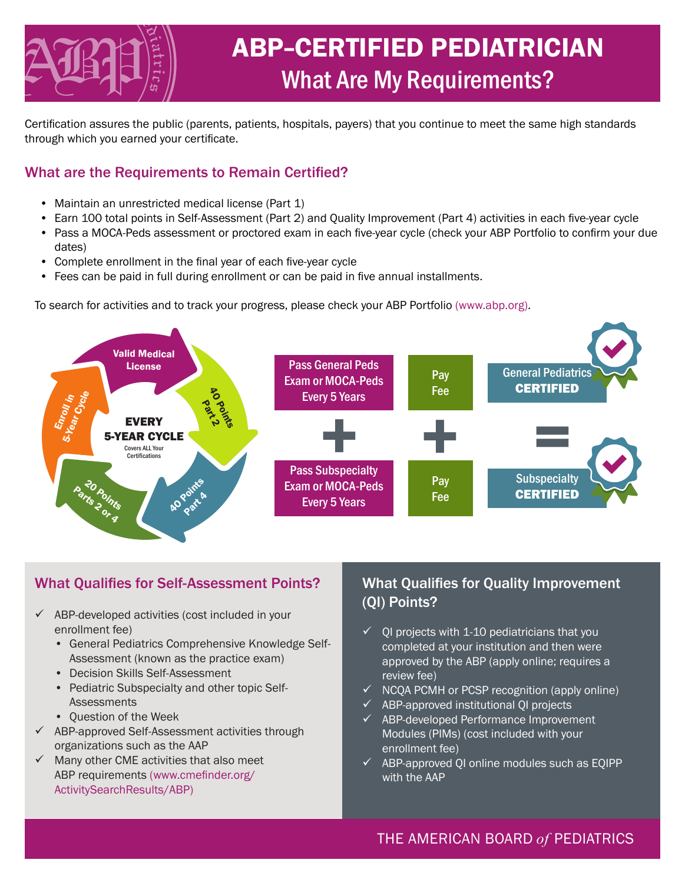

# ABP-CERTIFIED PEDIATRICIAN What Are My Requirements?

Certification assures the public (parents, patients, hospitals, payers) that you continue to meet the same high standards through which you earned your certificate.

## What are the Requirements to Remain Certified?

- Maintain an unrestricted medical license (Part 1)
- Earn 100 total points in Self-Assessment (Part 2) and Quality Improvement (Part 4) activities in each five-year cycle
- Pass a MOCA-Peds assessment or proctored exam in each five-year cycle (check your ABP Portfolio to confirm your due dates)
- Complete enrollment in the final year of each five-year cycle
- Fees can be paid in full during enrollment or can be paid in five annual installments.

To search for activities and to track your progress, please check your ABP Portfolio (www.abp.org).



# What Qualifies for Self-Assessment Points?

- $\checkmark$  ABP-developed activities (cost included in your enrollment fee)
	- General Pediatrics Comprehensive Knowledge Self-Assessment (known as the practice exam)
	- Decision Skills Self-Assessment
	- Pediatric Subspecialty and other topic Self-**Assessments**
	- Question of the Week
- $\checkmark$  ABP-approved Self-Assessment activities through organizations such as the AAP
- $\checkmark$  Many other CME activities that also meet ABP requirements (www.cmefinder.org/ ActivitySearchResults/ABP)

# What Qualifies for Quality Improvement (QI) Points?

- $\checkmark$  OI projects with 1-10 pediatricians that you completed at your institution and then were approved by the ABP (apply online; requires a review fee)
- $\checkmark$  NCQA PCMH or PCSP recognition (apply online)
- $\checkmark$  ABP-approved institutional OI projects
- $\checkmark$  ABP-developed Performance Improvement Modules (PIMs) (cost included with your enrollment fee)
- $\checkmark$  ABP-approved QI online modules such as EQIPP with the AAP